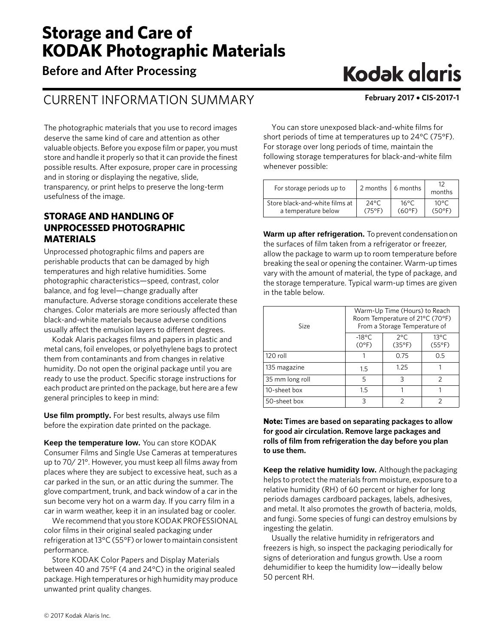# **Storage and Care of KODAK Photographic Materials**

**Before and After Processing**

# CURRENT INFORMATION SUMMARY **February 2017** • **CIS-2017-1**

The photographic materials that you use to record images deserve the same kind of care and attention as other valuable objects. Before you expose film or paper, you must store and handle it properly so that it can provide the finest possible results. After exposure, proper care in processing and in storing or displaying the negative, slide, transparency, or print helps to preserve the long-term usefulness of the image.

# **STORAGE AND HANDLING OF UNPROCESSED PHOTOGRAPHIC MATERIALS**

Unprocessed photographic films and papers are perishable products that can be damaged by high temperatures and high relative humidities. Some photographic characteristics—speed, contrast, color balance, and fog level—change gradually after manufacture. Adverse storage conditions accelerate these changes. Color materials are more seriously affected than black-and-white materials because adverse conditions usually affect the emulsion layers to different degrees.

Kodak Alaris packages films and papers in plastic and metal cans, foil envelopes, or polyethylene bags to protect them from contaminants and from changes in relative humidity. Do not open the original package until you are ready to use the product. Specific storage instructions for each product are printed on the package, but here are a few general principles to keep in mind:

**Use film promptly.** For best results, always use film before the expiration date printed on the package.

**Keep the temperature low.** You can store KODAK Consumer Films and Single Use Cameras at temperatures up to 70/ 21°. However, you must keep all films away from places where they are subject to excessive heat, such as a car parked in the sun, or an attic during the summer. The glove compartment, trunk, and back window of a car in the sun become very hot on a warm day. If you carry film in a car in warm weather, keep it in an insulated bag or cooler.

We recommend that you store KODAK PROFESSIONAL color films in their original sealed packaging under refrigeration at 13°C (55°F) or lower to maintain consistent performance.

Store KODAK Color Papers and Display Materials between 40 and 75°F (4 and 24°C) in the original sealed package. High temperatures or high humidity may produce unwanted print quality changes.

# **Kodak glaris**

You can store unexposed black-and-white films for short periods of time at temperatures up to 24°C (75°F). For storage over long periods of time, maintain the following storage temperatures for black-and-white film whenever possible:

| For storage periods up to      | 2 months 6 months |                 | months |
|--------------------------------|-------------------|-----------------|--------|
| Store black-and-white films at | $24^{\circ}$ C    | 16°C            | 10°C   |
| a temperature below            | $(75^{\circ}F)$   | $(60^{\circ}F)$ | (50°F) |

**Warm up after refrigeration.** To prevent condensation on the surfaces of film taken from a refrigerator or freezer, allow the package to warm up to room temperature before breaking the seal or opening the container. Warm-up times vary with the amount of material, the type of package, and the storage temperature. Typical warm-up times are given in the table below.

| Size            | Room Temperature of 21°C (70°F)   | Warm-Up Time (Hours) to Reach<br>From a Storage Temperature of |                                   |
|-----------------|-----------------------------------|----------------------------------------------------------------|-----------------------------------|
|                 | $-18^{\circ}$ C<br>$(0^{\circ}F)$ | $2^{\circ}$ C<br>$(35^{\circ}F)$                               | $13^{\circ}$ C<br>$(55^{\circ}F)$ |
| 120 roll        |                                   | 0.75                                                           | 0.5                               |
| 135 magazine    | 1.5                               | 1.25                                                           |                                   |
| 35 mm long roll | 5                                 | २                                                              | $\mathcal{P}$                     |
| 10-sheet box    | 1.5                               |                                                                |                                   |
| 50-sheet box    | ς                                 |                                                                |                                   |

## **Note: Times are based on separating packages to allow for good air circulation. Remove large packages and rolls of film from refrigeration the day before you plan to use them.**

**Keep the relative humidity low.** Although the packaging helps to protect the materials from moisture, exposure to a relative humidity (RH) of 60 percent or higher for long periods damages cardboard packages, labels, adhesives, and metal. It also promotes the growth of bacteria, molds, and fungi. Some species of fungi can destroy emulsions by ingesting the gelatin.

Usually the relative humidity in refrigerators and freezers is high, so inspect the packaging periodically for signs of deterioration and fungus growth. Use a room dehumidifier to keep the humidity low—ideally below 50 percent RH.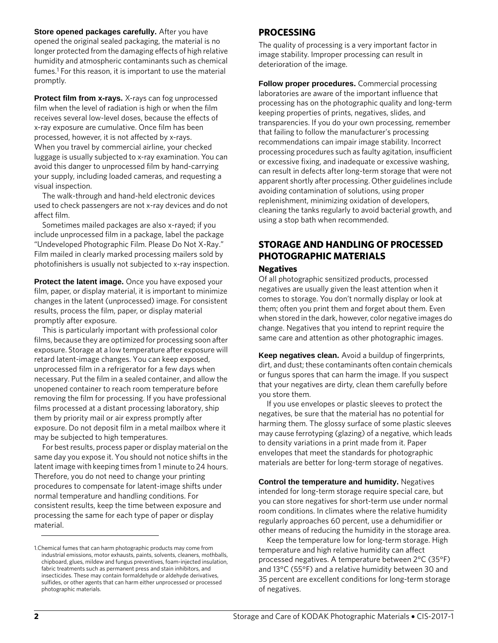**Store opened packages carefully.** After you have opened the original sealed packaging, the material is no longer protected from the damaging effects of high relative humidity and atmospheric contaminants such as chemical fumes.<sup>1</sup> For this reason, it is important to use the material promptly.

**Protect film from x-rays.** X-rays can fog unprocessed film when the level of radiation is high or when the film receives several low-level doses, because the effects of x-ray exposure are cumulative. Once film has been processed, however, it is not affected by x-rays. When you travel by commercial airline, your checked luggage is usually subjected to x-ray examination. You can avoid this danger to unprocessed film by hand-carrying your supply, including loaded cameras, and requesting a visual inspection.

The walk-through and hand-held electronic devices used to check passengers are not x-ray devices and do not affect film.

Sometimes mailed packages are also x-rayed; if you include unprocessed film in a package, label the package "Undeveloped Photographic Film. Please Do Not X-Ray." Film mailed in clearly marked processing mailers sold by photofinishers is usually not subjected to x-ray inspection.

**Protect the latent image.** Once you have exposed your film, paper, or display material, it is important to minimize changes in the latent (unprocessed) image. For consistent results, process the film, paper, or display material promptly after exposure.

This is particularly important with professional color films, because they are optimized for processing soon after exposure. Storage at a low temperature after exposure will retard latent-image changes. You can keep exposed, unprocessed film in a refrigerator for a few days when necessary. Put the film in a sealed container, and allow the unopened container to reach room temperature before removing the film for processing. If you have professional films processed at a distant processing laboratory, ship them by priority mail or air express promptly after exposure. Do not deposit film in a metal mailbox where it may be subjected to high temperatures.

For best results, process paper or display material on the same day you expose it. You should not notice shifts in the latent image with keeping times from 1 minute to 24 hours. Therefore, you do not need to change your printing procedures to compensate for latent-image shifts under normal temperature and handling conditions. For consistent results, keep the time between exposure and processing the same for each type of paper or display material.

# **PROCESSING**

The quality of processing is a very important factor in image stability. Improper processing can result in deterioration of the image.

**Follow proper procedures.** Commercial processing laboratories are aware of the important influence that processing has on the photographic quality and long-term keeping properties of prints, negatives, slides, and transparencies. If you do your own processing, remember that failing to follow the manufacturer's processing recommendations can impair image stability. Incorrect processing procedures such as faulty agitation, insufficient or excessive fixing, and inadequate or excessive washing, can result in defects after long-term storage that were not apparent shortly after processing. Other guidelines include avoiding contamination of solutions, using proper replenishment, minimizing oxidation of developers, cleaning the tanks regularly to avoid bacterial growth, and using a stop bath when recommended.

# **STORAGE AND HANDLING OF PROCESSED PHOTOGRAPHIC MATERIALS**

#### **Negatives**

Of all photographic sensitized products, processed negatives are usually given the least attention when it comes to storage. You don't normally display or look at them; often you print them and forget about them. Even when stored in the dark, however, color negative images do change. Negatives that you intend to reprint require the same care and attention as other photographic images.

**Keep negatives clean.** Avoid a buildup of fingerprints, dirt, and dust; these contaminants often contain chemicals or fungus spores that can harm the image. If you suspect that your negatives are dirty, clean them carefully before you store them.

If you use envelopes or plastic sleeves to protect the negatives, be sure that the material has no potential for harming them. The glossy surface of some plastic sleeves may cause ferrotyping (glazing) of a negative, which leads to density variations in a print made from it. Paper envelopes that meet the standards for photographic materials are better for long-term storage of negatives.

**Control the temperature and humidity.** Negatives intended for long-term storage require special care, but you can store negatives for short-term use under normal room conditions. In climates where the relative humidity regularly approaches 60 percent, use a dehumidifier or other means of reducing the humidity in the storage area.

Keep the temperature low for long-term storage. High temperature and high relative humidity can affect processed negatives. A temperature between 2°C (35°F) and 13°C (55°F) and a relative humidity between 30 and 35 percent are excellent conditions for long-term storage of negatives.

<sup>1.</sup>Chemical fumes that can harm photographic products may come from industrial emissions, motor exhausts, paints, solvents, cleaners, mothballs, chipboard, glues, mildew and fungus preventives, foam-injected insulation, fabric treatments such as permanent press and stain inhibitors, and insecticides. These may contain formaldehyde or aldehyde derivatives, sulfides, or other agents that can harm either unprocessed or processed photographic materials.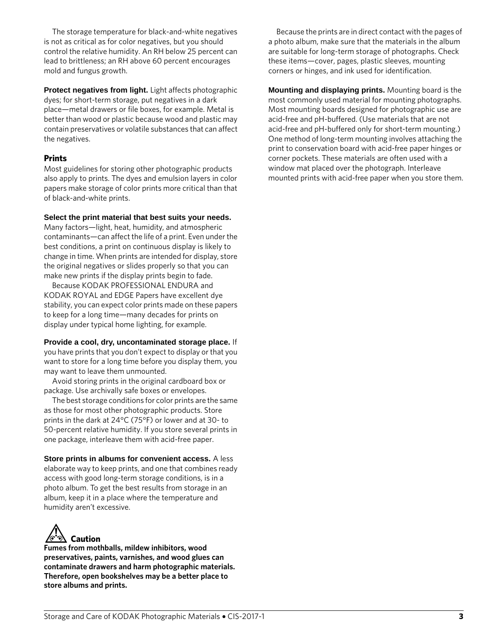The storage temperature for black-and-white negatives is not as critical as for color negatives, but you should control the relative humidity. An RH below 25 percent can lead to brittleness; an RH above 60 percent encourages mold and fungus growth.

**Protect negatives from light.** Light affects photographic dyes; for short-term storage, put negatives in a dark place—metal drawers or file boxes, for example. Metal is better than wood or plastic because wood and plastic may contain preservatives or volatile substances that can affect the negatives.

## **Prints**

Most guidelines for storing other photographic products also apply to prints. The dyes and emulsion layers in color papers make storage of color prints more critical than that of black-and-white prints.

#### **Select the print material that best suits your needs.**

Many factors—light, heat, humidity, and atmospheric contaminants—can affect the life of a print. Even under the best conditions, a print on continuous display is likely to change in time. When prints are intended for display, store the original negatives or slides properly so that you can make new prints if the display prints begin to fade.

Because KODAK PROFESSIONAL ENDURA and KODAK ROYAL and EDGE Papers have excellent dye stability, you can expect color prints made on these papers to keep for a long time—many decades for prints on display under typical home lighting, for example.

## **Provide a cool, dry, uncontaminated storage place.** If

you have prints that you don't expect to display or that you want to store for a long time before you display them, you may want to leave them unmounted.

Avoid storing prints in the original cardboard box or package. Use archivally safe boxes or envelopes.

The best storage conditions for color prints are the same as those for most other photographic products. Store prints in the dark at 24°C (75°F) or lower and at 30- to 50-percent relative humidity. If you store several prints in one package, interleave them with acid-free paper.

**Store prints in albums for convenient access.** A less elaborate way to keep prints, and one that combines ready access with good long-term storage conditions, is in a photo album. To get the best results from storage in an album, keep it in a place where the temperature and humidity aren't excessive.



**Fumes from mothballs, mildew inhibitors, wood preservatives, paints, varnishes, and wood glues can contaminate drawers and harm photographic materials. Therefore, open bookshelves may be a better place to store albums and prints.**

Because the prints are in direct contact with the pages of a photo album, make sure that the materials in the album are suitable for long-term storage of photographs. Check these items—cover, pages, plastic sleeves, mounting corners or hinges, and ink used for identification.

**Mounting and displaying prints.** Mounting board is the most commonly used material for mounting photographs. Most mounting boards designed for photographic use are acid-free and pH-buffered. (Use materials that are not acid-free and pH-buffered only for short-term mounting.) One method of long-term mounting involves attaching the print to conservation board with acid-free paper hinges or corner pockets. These materials are often used with a window mat placed over the photograph. Interleave mounted prints with acid-free paper when you store them.